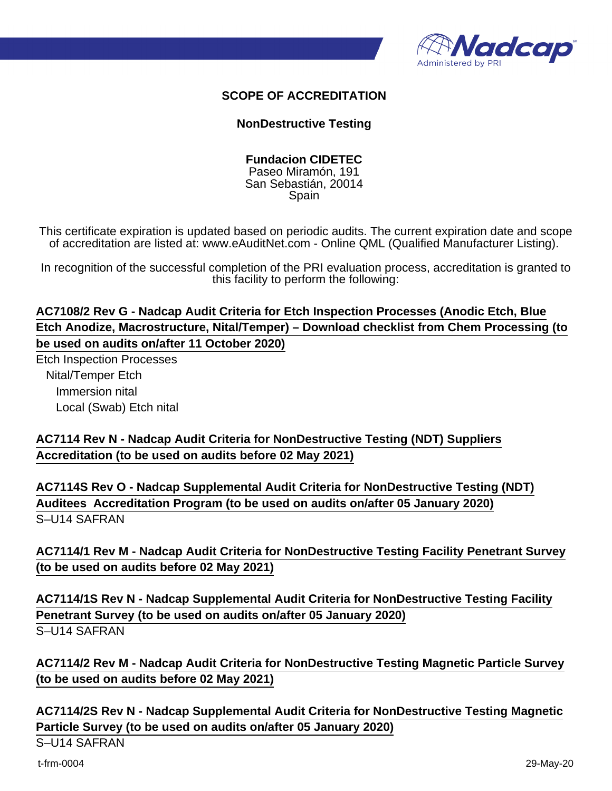

### **SCOPE OF ACCREDITATION**

#### **NonDestructive Testing**

#### **Fundacion CIDETEC**

Paseo Miramón, 191 San Sebastián, 20014 Spain

This certificate expiration is updated based on periodic audits. The current expiration date and scope of accreditation are listed at: www.eAuditNet.com - Online QML (Qualified Manufacturer Listing).

In recognition of the successful completion of the PRI evaluation process, accreditation is granted to this facility to perform the following:

## **AC7108/2 Rev G - Nadcap Audit Criteria for Etch Inspection Processes (Anodic Etch, Blue Etch Anodize, Macrostructure, Nital/Temper) – Download checklist from Chem Processing (to be used on audits on/after 11 October 2020)**

Etch Inspection Processes Nital/Temper Etch Immersion nital Local (Swab) Etch nital

## **AC7114 Rev N - Nadcap Audit Criteria for NonDestructive Testing (NDT) Suppliers Accreditation (to be used on audits before 02 May 2021)**

**AC7114S Rev O - Nadcap Supplemental Audit Criteria for NonDestructive Testing (NDT) Auditees Accreditation Program (to be used on audits on/after 05 January 2020)** S–U14 SAFRAN

# **AC7114/1 Rev M - Nadcap Audit Criteria for NonDestructive Testing Facility Penetrant Survey (to be used on audits before 02 May 2021)**

**AC7114/1S Rev N - Nadcap Supplemental Audit Criteria for NonDestructive Testing Facility Penetrant Survey (to be used on audits on/after 05 January 2020)** S–U14 SAFRAN

**AC7114/2 Rev M - Nadcap Audit Criteria for NonDestructive Testing Magnetic Particle Survey (to be used on audits before 02 May 2021)**

**AC7114/2S Rev N - Nadcap Supplemental Audit Criteria for NonDestructive Testing Magnetic Particle Survey (to be used on audits on/after 05 January 2020)** S–U14 SAFRAN